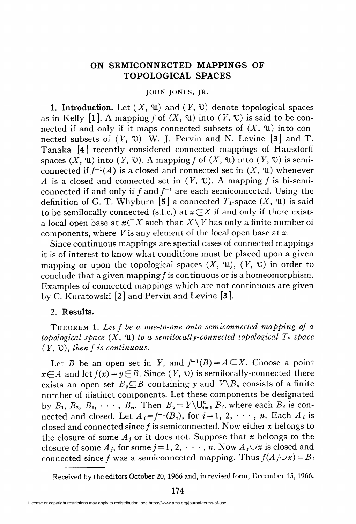## ON SEMICONNECTED MAPPINGS OF TOPOLOGICAL SPACES

## JOHN JONES, JR.

**1. Introduction.** Let  $(X, \mathcal{U})$  and  $(Y, \mathcal{U})$  denote topological spaces as in Kelly [1]. A mapping f of  $(X, \mathfrak{u})$  into  $(Y, \mathfrak{v})$  is said to be connected if and only if it maps connected subsets of  $(X, \mathfrak{u})$  into connected subsets of  $(Y, \mathcal{V})$ . W. J. Pervin and N. Levine  $|\mathbf{3}|$  and T. Tanaka [4] recently considered connected mappings of Hausdorff spaces  $(X, \mathfrak{u})$  into  $(Y, \mathfrak{v})$ . A mapping f of  $(X, \mathfrak{u})$  into  $(Y, \mathfrak{v})$  is semiconnected if  $f^{-1}(A)$  is a closed and connected set in  $(X, \mathfrak{u})$  whenever A is a closed and connected set in  $(Y, \mathcal{V})$ . A mapping f is bi-semiconnected if and only if f and  $f^{-1}$  are each semiconnected. Using the definition of G. T. Whyburn [5] a connected  $T_1$ -space  $(X, \mathfrak{u})$  is said to be semilocally connected (s.l.c.) at  $x \in X$  if and only if there exists a local open base at  $x \in X$  such that  $X \setminus V$  has only a finite number of components, where  $V$  is any element of the local open base at  $x$ .

Since continuous mappings are special cases of connected mappings it is of interest to know what conditions must be placed upon a given mapping or upon the topological spaces  $(X, \mathfrak{u})$ ,  $(Y, \mathfrak{v})$  in order to conclude that a given mapping  $f$  is continuous or is a homeomorphism. Examples of connected mappings which are not continuous are given by C. Kuratowski  $[2]$  and Pervin and Levine  $[3]$ .

## 2. Results.

THEOREM 1. Let  $f$  be a one-to-one onto semiconnected mapping of a topological space  $(X, \mathfrak{u})$  to a semilocally-connected topological  $T_2$  space  $(Y, V)$ , then f is continuous.

Let B be an open set in Y, and  $f^{-1}(B)=A\subseteq X$ . Choose a point  $x \in A$  and let  $f(x) = y \in B$ . Since  $(Y, \mathcal{V})$  is semilocally-connected there exists an open set  $B_v \subseteq B$  containing y and  $Y \setminus B_v$  consists of a finite number of distinct components. Let these components be designated by  $B_1$ ,  $B_2$ ,  $B_3$ ,  $\cdots$ ,  $B_n$ . Then  $B_{\mathbf{y}} = Y \setminus \bigcup_{i=1}^n B_i$ , where each  $B_i$  is connected and closed. Let  $A_i = f^{-1}(B_i)$ , for  $i = 1, 2, \dots, n$ . Each  $A_i$  is closed and connected since  $f$  is semiconnected. Now either  $x$  belongs to the closure of some  $A_i$  or it does not. Suppose that x belongs to the closure of some  $A_j$ , for some  $j = 1, 2, \dots, n$ . Now  $A_j \cup x$  is closed and connected since f was a semiconnected mapping. Thus  $f(A_i \cup x) = B_i$ 

Received by the editors October 20, 1966 and, in revised form, December 15, 1966.